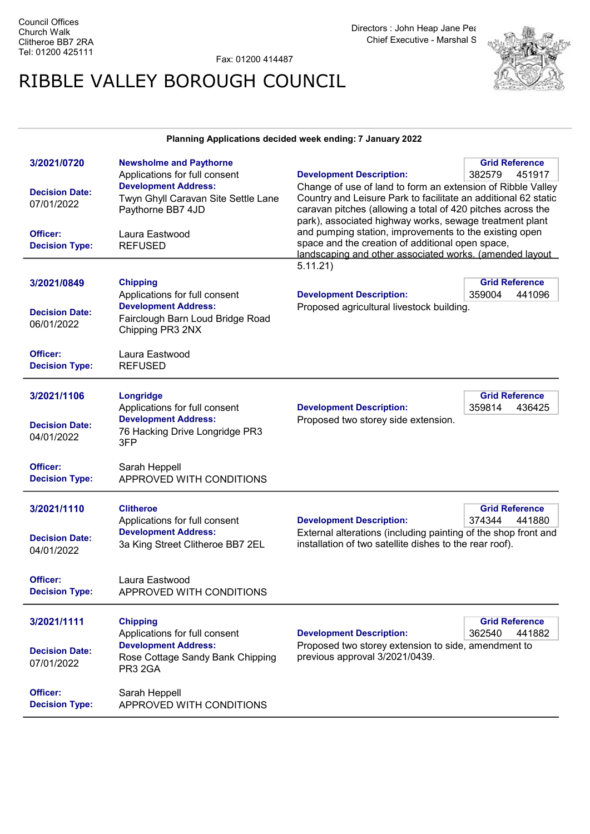Fax: 01200 414487

## RIBBLE VALLEY BOROUGH COUNCIL



## Planning Applications decided week ending: 7 January 2022

| 3/2021/0720           | <b>Newsholme and Paythorne</b>      |                                                                                                                               | <b>Grid Reference</b> |  |
|-----------------------|-------------------------------------|-------------------------------------------------------------------------------------------------------------------------------|-----------------------|--|
|                       | Applications for full consent       | <b>Development Description:</b>                                                                                               | 382579<br>451917      |  |
| <b>Decision Date:</b> | <b>Development Address:</b>         | Change of use of land to form an extension of Ribble Valley                                                                   |                       |  |
|                       | Twyn Ghyll Caravan Site Settle Lane | Country and Leisure Park to facilitate an additional 62 static<br>caravan pitches (allowing a total of 420 pitches across the |                       |  |
| 07/01/2022            | Paythorne BB7 4JD                   |                                                                                                                               |                       |  |
|                       |                                     | park), associated highway works, sewage treatment plant                                                                       |                       |  |
| Officer:              | Laura Eastwood                      | and pumping station, improvements to the existing open                                                                        |                       |  |
| <b>Decision Type:</b> | <b>REFUSED</b>                      | space and the creation of additional open space,                                                                              |                       |  |
|                       |                                     | landscaping and other associated works. (amended layout                                                                       |                       |  |
|                       |                                     | 5.11.21)                                                                                                                      |                       |  |
|                       |                                     |                                                                                                                               |                       |  |
| 3/2021/0849           | <b>Chipping</b>                     |                                                                                                                               | <b>Grid Reference</b> |  |
|                       | Applications for full consent       | <b>Development Description:</b>                                                                                               | 359004<br>441096      |  |
| <b>Decision Date:</b> | <b>Development Address:</b>         | Proposed agricultural livestock building.                                                                                     |                       |  |
| 06/01/2022            | Fairclough Barn Loud Bridge Road    |                                                                                                                               |                       |  |
|                       | Chipping PR3 2NX                    |                                                                                                                               |                       |  |
|                       |                                     |                                                                                                                               |                       |  |
| Officer:              | Laura Eastwood                      |                                                                                                                               |                       |  |
| <b>Decision Type:</b> | <b>REFUSED</b>                      |                                                                                                                               |                       |  |
|                       |                                     |                                                                                                                               |                       |  |
| 3/2021/1106           | <b>Longridge</b>                    | <b>Grid Reference</b>                                                                                                         |                       |  |
|                       | Applications for full consent       | <b>Development Description:</b>                                                                                               | 359814<br>436425      |  |
|                       | <b>Development Address:</b>         | Proposed two storey side extension.                                                                                           |                       |  |
| <b>Decision Date:</b> | 76 Hacking Drive Longridge PR3      |                                                                                                                               |                       |  |
| 04/01/2022            | 3FP                                 |                                                                                                                               |                       |  |
|                       |                                     |                                                                                                                               |                       |  |
| Officer:              | Sarah Heppell                       |                                                                                                                               |                       |  |
| <b>Decision Type:</b> | APPROVED WITH CONDITIONS            |                                                                                                                               |                       |  |
|                       |                                     |                                                                                                                               |                       |  |
|                       |                                     |                                                                                                                               |                       |  |
| 3/2021/1110           | <b>Clitheroe</b>                    |                                                                                                                               | <b>Grid Reference</b> |  |
|                       | Applications for full consent       | <b>Development Description:</b>                                                                                               | 374344<br>441880      |  |
| <b>Decision Date:</b> | <b>Development Address:</b>         | External alterations (including painting of the shop front and                                                                |                       |  |
| 04/01/2022            | 3a King Street Clitheroe BB7 2EL    | installation of two satellite dishes to the rear roof).                                                                       |                       |  |
|                       |                                     |                                                                                                                               |                       |  |
|                       |                                     |                                                                                                                               |                       |  |
| Officer:              | Laura Eastwood                      |                                                                                                                               |                       |  |
| <b>Decision Type:</b> | APPROVED WITH CONDITIONS            |                                                                                                                               |                       |  |
|                       |                                     |                                                                                                                               |                       |  |
| 3/2021/1111           | <b>Chipping</b>                     |                                                                                                                               | <b>Grid Reference</b> |  |
|                       | Applications for full consent       | <b>Development Description:</b>                                                                                               | 362540<br>441882      |  |
|                       | <b>Development Address:</b>         | Proposed two storey extension to side, amendment to                                                                           |                       |  |
| <b>Decision Date:</b> | Rose Cottage Sandy Bank Chipping    | previous approval 3/2021/0439.                                                                                                |                       |  |
| 07/01/2022            | <b>PR3 2GA</b>                      |                                                                                                                               |                       |  |
|                       |                                     |                                                                                                                               |                       |  |
| Officer:              | Sarah Heppell                       |                                                                                                                               |                       |  |
| <b>Decision Type:</b> | APPROVED WITH CONDITIONS            |                                                                                                                               |                       |  |
|                       |                                     |                                                                                                                               |                       |  |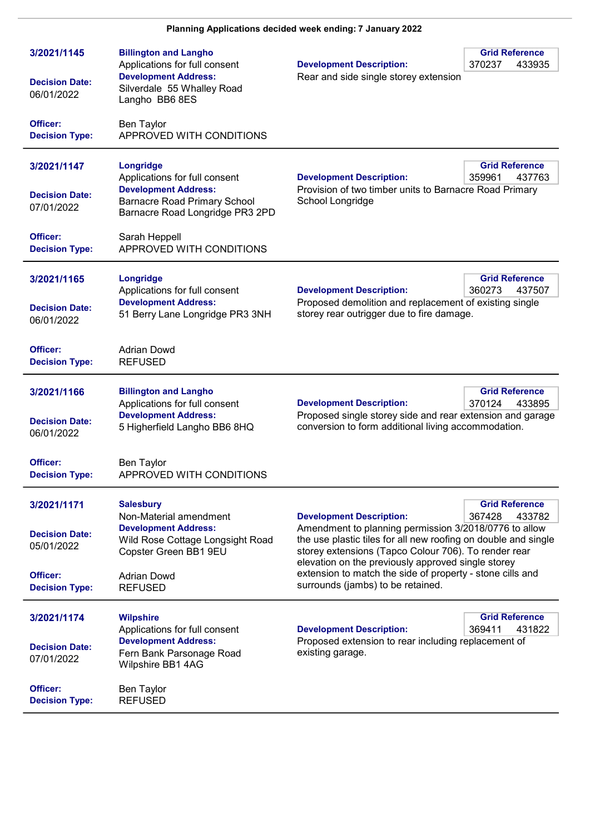| 3/2021/1145<br><b>Decision Date:</b><br>06/01/2022                                      | <b>Billington and Langho</b><br>Applications for full consent<br><b>Development Address:</b><br>Silverdale 55 Whalley Road<br>Langho BB6 8ES                                   | <b>Development Description:</b><br>Rear and side single storey extension                                                                                                                                                                                                                                                                                                                                                | <b>Grid Reference</b><br>370237<br>433935 |
|-----------------------------------------------------------------------------------------|--------------------------------------------------------------------------------------------------------------------------------------------------------------------------------|-------------------------------------------------------------------------------------------------------------------------------------------------------------------------------------------------------------------------------------------------------------------------------------------------------------------------------------------------------------------------------------------------------------------------|-------------------------------------------|
| Officer:<br><b>Decision Type:</b>                                                       | <b>Ben Taylor</b><br>APPROVED WITH CONDITIONS                                                                                                                                  |                                                                                                                                                                                                                                                                                                                                                                                                                         |                                           |
| 3/2021/1147<br><b>Decision Date:</b><br>07/01/2022                                      | Longridge<br>Applications for full consent<br><b>Development Address:</b><br><b>Barnacre Road Primary School</b><br>Barnacre Road Longridge PR3 2PD                            | <b>Development Description:</b><br>Provision of two timber units to Barnacre Road Primary<br>School Longridge                                                                                                                                                                                                                                                                                                           | <b>Grid Reference</b><br>437763<br>359961 |
| Officer:<br><b>Decision Type:</b>                                                       | Sarah Heppell<br>APPROVED WITH CONDITIONS                                                                                                                                      |                                                                                                                                                                                                                                                                                                                                                                                                                         |                                           |
| 3/2021/1165<br><b>Decision Date:</b><br>06/01/2022                                      | Longridge<br>Applications for full consent<br><b>Development Address:</b><br>51 Berry Lane Longridge PR3 3NH                                                                   | <b>Development Description:</b><br>Proposed demolition and replacement of existing single<br>storey rear outrigger due to fire damage.                                                                                                                                                                                                                                                                                  | <b>Grid Reference</b><br>360273<br>437507 |
| Officer:<br><b>Decision Type:</b>                                                       | <b>Adrian Dowd</b><br><b>REFUSED</b>                                                                                                                                           |                                                                                                                                                                                                                                                                                                                                                                                                                         |                                           |
| 3/2021/1166<br><b>Decision Date:</b><br>06/01/2022                                      | <b>Billington and Langho</b><br>Applications for full consent<br><b>Development Address:</b><br>5 Higherfield Langho BB6 8HQ                                                   | <b>Development Description:</b><br>Proposed single storey side and rear extension and garage<br>conversion to form additional living accommodation.                                                                                                                                                                                                                                                                     | <b>Grid Reference</b><br>370124<br>433895 |
| Officer:<br><b>Decision Type:</b>                                                       | <b>Ben Taylor</b><br>APPROVED WITH CONDITIONS                                                                                                                                  |                                                                                                                                                                                                                                                                                                                                                                                                                         |                                           |
| 3/2021/1171<br><b>Decision Date:</b><br>05/01/2022<br>Officer:<br><b>Decision Type:</b> | <b>Salesbury</b><br>Non-Material amendment<br><b>Development Address:</b><br>Wild Rose Cottage Longsight Road<br>Copster Green BB1 9EU<br><b>Adrian Dowd</b><br><b>REFUSED</b> | <b>Grid Reference</b><br><b>Development Description:</b><br>367428<br>433782<br>Amendment to planning permission 3/2018/0776 to allow<br>the use plastic tiles for all new roofing on double and single<br>storey extensions (Tapco Colour 706). To render rear<br>elevation on the previously approved single storey<br>extension to match the side of property - stone cills and<br>surrounds (jambs) to be retained. |                                           |
| 3/2021/1174<br><b>Decision Date:</b><br>07/01/2022<br>Officer:<br><b>Decision Type:</b> | <b>Wilpshire</b><br>Applications for full consent<br><b>Development Address:</b><br>Fern Bank Parsonage Road<br>Wilpshire BB1 4AG<br><b>Ben Taylor</b><br><b>REFUSED</b>       | <b>Development Description:</b><br>Proposed extension to rear including replacement of<br>existing garage.                                                                                                                                                                                                                                                                                                              | <b>Grid Reference</b><br>369411<br>431822 |